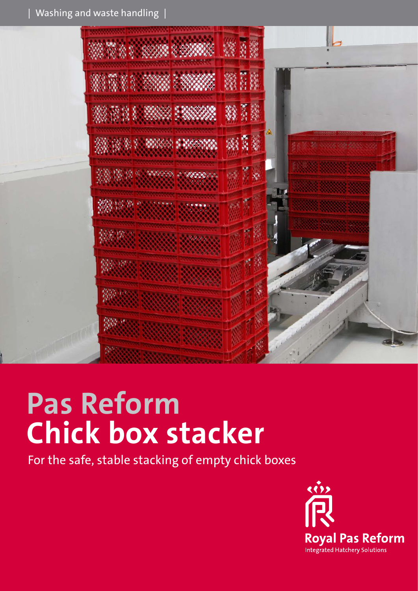

# **Pas Reform Chick box stacker**

For the safe, stable stacking of empty chick boxes